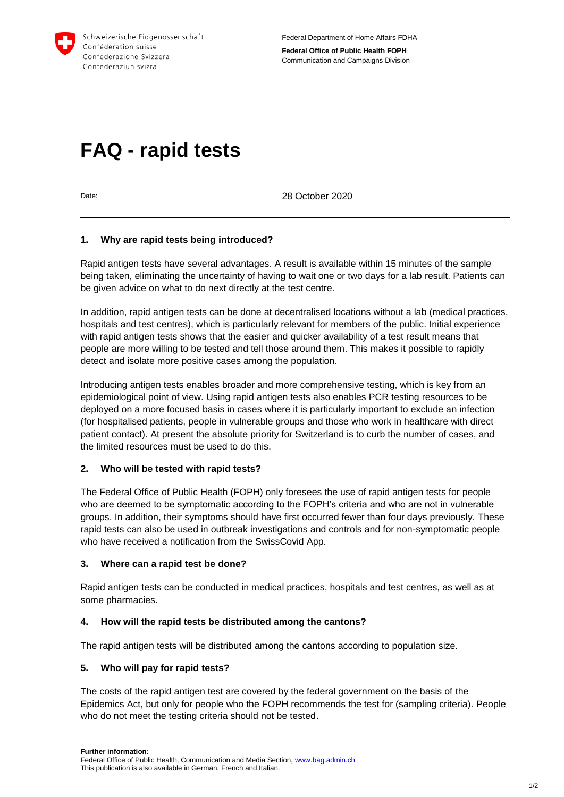

# **FAQ - rapid tests**

Date: 2020 Date:

## **1. Why are rapid tests being introduced?**

Rapid antigen tests have several advantages. A result is available within 15 minutes of the sample being taken, eliminating the uncertainty of having to wait one or two days for a lab result. Patients can be given advice on what to do next directly at the test centre.

In addition, rapid antigen tests can be done at decentralised locations without a lab (medical practices, hospitals and test centres), which is particularly relevant for members of the public. Initial experience with rapid antigen tests shows that the easier and quicker availability of a test result means that people are more willing to be tested and tell those around them. This makes it possible to rapidly detect and isolate more positive cases among the population.

Introducing antigen tests enables broader and more comprehensive testing, which is key from an epidemiological point of view. Using rapid antigen tests also enables PCR testing resources to be deployed on a more focused basis in cases where it is particularly important to exclude an infection (for hospitalised patients, people in vulnerable groups and those who work in healthcare with direct patient contact). At present the absolute priority for Switzerland is to curb the number of cases, and the limited resources must be used to do this.

#### **2. Who will be tested with rapid tests?**

The Federal Office of Public Health (FOPH) only foresees the use of rapid antigen tests for people who are deemed to be symptomatic according to the FOPH's criteria and who are not in vulnerable groups. In addition, their symptoms should have first occurred fewer than four days previously. These rapid tests can also be used in outbreak investigations and controls and for non-symptomatic people who have received a notification from the SwissCovid App.

#### **3. Where can a rapid test be done?**

Rapid antigen tests can be conducted in medical practices, hospitals and test centres, as well as at some pharmacies.

#### **4. How will the rapid tests be distributed among the cantons?**

The rapid antigen tests will be distributed among the cantons according to population size.

#### **5. Who will pay for rapid tests?**

The costs of the rapid antigen test are covered by the federal government on the basis of the Epidemics Act, but only for people who the FOPH recommends the test for (sampling criteria). People who do not meet the testing criteria should not be tested.